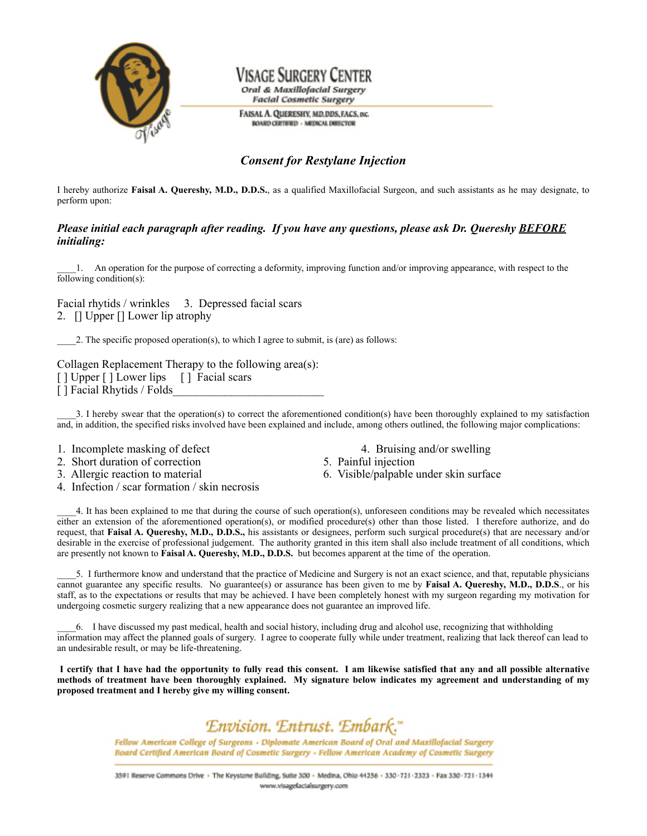

## VISAGE SURGERY CENT Oral & Maxillofacial Surgery

**Facial Cosmetic Surgery** 

FAISAL A. QUERESHY, MD, DDS, FACS, INC. **BOARD CERTIFIED - MEDICAL DIRECTOR** 

## *Consent for Restylane Injection*

I hereby authorize **Faisal A. Quereshy, M.D., D.D.S.**, as a qualified Maxillofacial Surgeon, and such assistants as he may designate, to perform upon:

## *Please initial each paragraph after reading. If you have any questions, please ask Dr. Quereshy BEFORE initialing:*

\_\_\_\_1. An operation for the purpose of correcting a deformity, improving function and/or improving appearance, with respect to the following condition(s):

Facial rhytids / wrinkles 3. Depressed facial scars 2. [] Upper [] Lower lip atrophy

2. The specific proposed operation(s), to which I agree to submit, is (are) as follows:

Collagen Replacement Therapy to the following area(s): [ ] Upper [ ] Lower lips [ ] Facial scars  $\overline{[}$  ] Facial Rhytids / Folds

\_\_\_\_3. I hereby swear that the operation(s) to correct the aforementioned condition(s) have been thoroughly explained to my satisfaction and, in addition, the specified risks involved have been explained and include, among others outlined, the following major complications:

- 1. Incomplete masking of defect 4. Bruising and/or swelling
- 2. Short duration of correction 5. Painful injection
- 
- 4. Infection / scar formation / skin necrosis
- 
- 
- 3. Allergic reaction to material 6. Visible/palpable under skin surface

\_\_\_\_4. It has been explained to me that during the course of such operation(s), unforeseen conditions may be revealed which necessitates either an extension of the aforementioned operation(s), or modified procedure(s) other than those listed. I therefore authorize, and do request, that **Faisal A. Quereshy, M.D., D.D.S.,** his assistants or designees, perform such surgical procedure(s) that are necessary and/or desirable in the exercise of professional judgement. The authority granted in this item shall also include treatment of all conditions, which are presently not known to **Faisal A. Quereshy, M.D., D.D.S.** but becomes apparent at the time of the operation.

\_\_\_\_5. I furthermore know and understand that the practice of Medicine and Surgery is not an exact science, and that, reputable physicians cannot guarantee any specific results. No guarantee(s) or assurance has been given to me by **Faisal A. Quereshy, M.D., D.D.S**., or his staff, as to the expectations or results that may be achieved. I have been completely honest with my surgeon regarding my motivation for undergoing cosmetic surgery realizing that a new appearance does not guarantee an improved life.

\_\_\_\_6. I have discussed my past medical, health and social history, including drug and alcohol use, recognizing that withholding information may affect the planned goals of surgery. I agree to cooperate fully while under treatment, realizing that lack thereof can lead to an undesirable result, or may be life-threatening.

I certify that I have had the opportunity to fully read this consent. I am likewise satisfied that any and all possible alternative methods of treatment have been thoroughly explained. My signature below indicates my agreement and understanding of my **proposed treatment and I hereby give my willing consent.**



Fellow American College of Surgeons - Diplomate American Board of Oral and Maxillofacial Surgery Board Certified American Board of Cosmetic Surgery - Fellow American Academy of Cosmetic Surgery

3591 Reserve Commons Drive . The Keystone Building, Suite 300 - Medina, Ohio 44256 - 330 - 721 - 2323 - Fax 330 - 721 - 1344 www.visagefacialsurgery.com